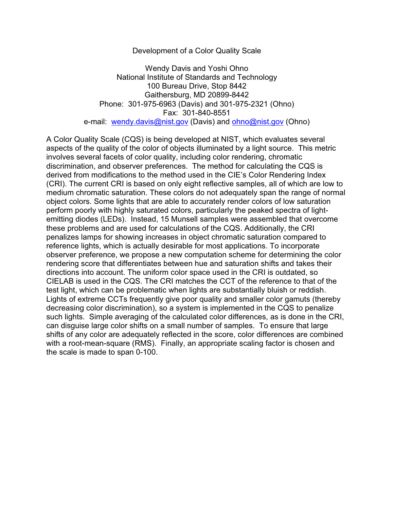#### Development of a Color Quality Scale

Wendy Davis and Yoshi Ohno National Institute of Standards and Technology 100 Bureau Drive, Stop 8442 Gaithersburg, MD 20899-8442 Phone: 301-975-6963 (Davis) and 301-975-2321 (Ohno) Fax: 301-840-8551 e-mail: wendy.davis@nist.gov (Davis) and ohno@nist.gov (Ohno)

A Color Quality Scale (CQS) is being developed at NIST, which evaluates several aspects of the quality of the color of objects illuminated by a light source. This metric involves several facets of color quality, including color rendering, chromatic discrimination, and observer preferences. The method for calculating the CQS is derived from modifications to the method used in the CIE's Color Rendering Index (CRI). The current CRI is based on only eight reflective samples, all of which are low to medium chromatic saturation. These colors do not adequately span the range of normal object colors. Some lights that are able to accurately render colors of low saturation perform poorly with highly saturated colors, particularly the peaked spectra of lightemitting diodes (LEDs). Instead, 15 Munsell samples were assembled that overcome these problems and are used for calculations of the CQS. Additionally, the CRI penalizes lamps for showing increases in object chromatic saturation compared to reference lights, which is actually desirable for most applications. To incorporate observer preference, we propose a new computation scheme for determining the color rendering score that differentiates between hue and saturation shifts and takes their directions into account. The uniform color space used in the CRI is outdated, so CIELAB is used in the CQS. The CRI matches the CCT of the reference to that of the test light, which can be problematic when lights are substantially bluish or reddish. Lights of extreme CCTs frequently give poor quality and smaller color gamuts (thereby decreasing color discrimination), so a system is implemented in the CQS to penalize such lights. Simple averaging of the calculated color differences, as is done in the CRI, can disguise large color shifts on a small number of samples. To ensure that large shifts of any color are adequately reflected in the score, color differences are combined with a root-mean-square (RMS). Finally, an appropriate scaling factor is chosen and the scale is made to span 0-100.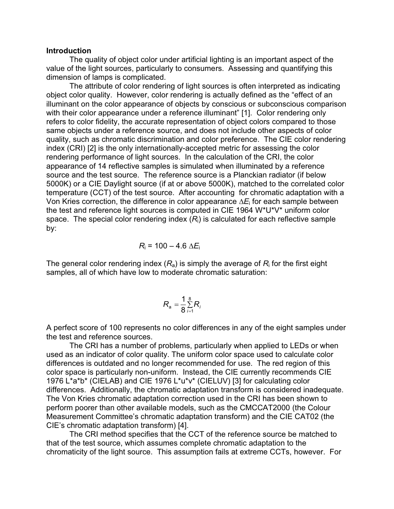#### **Introduction**

The quality of object color under artificial lighting is an important aspect of the value of the light sources, particularly to consumers. Assessing and quantifying this dimension of lamps is complicated.

The attribute of color rendering of light sources is often interpreted as indicating object color quality. However, color rendering is actually defined as the "effect of an illuminant on the color appearance of objects by conscious or subconscious comparison with their color appearance under a reference illuminant" [1]. Color rendering only refers to color fidelity, the accurate representation of object colors compared to those same objects under a reference source, and does not include other aspects of color quality, such as chromatic discrimination and color preference. The CIE color rendering index (CRI) [2] is the only internationally-accepted metric for assessing the color rendering performance of light sources. In the calculation of the CRI, the color appearance of 14 reflective samples is simulated when illuminated by a reference source and the test source. The reference source is a Planckian radiator (if below 5000K) or a CIE Daylight source (if at or above 5000K), matched to the correlated color temperature (CCT) of the test source. After accounting for chromatic adaptation with a Von Kries correction, the difference in color appearance  $\Delta E_{\text{i}}$  for each sample between the test and reference light sources is computed in CIE 1964 W\*U\*V\* uniform color space. The special color rendering index  $(R<sub>i</sub>)$  is calculated for each reflective sample by:

$$
R_{\rm i}=100-4.6\;\Delta E_{\rm i}
$$

The general color rendering index  $(R_a)$  is simply the average of  $R_i$  for the first eight samples, all of which have low to moderate chromatic saturation:

$$
R_{\rm a}=\frac{1}{8}\sum_{i=1}^8R_i
$$

A perfect score of 100 represents no color differences in any of the eight samples under the test and reference sources.

The CRI has a number of problems, particularly when applied to LEDs or when used as an indicator of color quality. The uniform color space used to calculate color differences is outdated and no longer recommended for use. The red region of this color space is particularly non-uniform. Instead, the CIE currently recommends CIE 1976 L\*a\*b\* (CIELAB) and CIE 1976 L\*u\*v\* (CIELUV) [3] for calculating color differences. Additionally, the chromatic adaptation transform is considered inadequate. The Von Kries chromatic adaptation correction used in the CRI has been shown to perform poorer than other available models, such as the CMCCAT2000 (the Colour Measurement Committee's chromatic adaptation transform) and the CIE CAT02 (the CIE's chromatic adaptation transform) [4].

The CRI method specifies that the CCT of the reference source be matched to that of the test source, which assumes complete chromatic adaptation to the chromaticity of the light source. This assumption fails at extreme CCTs, however. For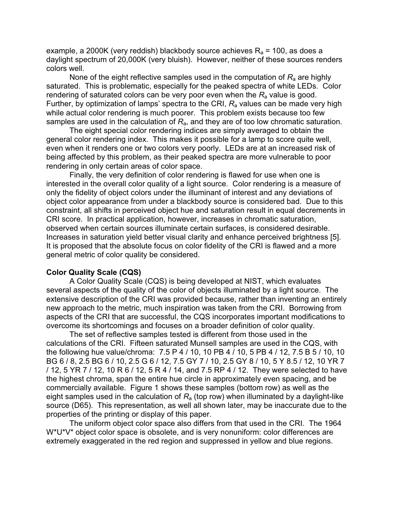example, a 2000K (very reddish) blackbody source achieves  $R_a = 100$ , as does a daylight spectrum of 20,000K (very bluish). However, neither of these sources renders colors well.

None of the eight reflective samples used in the computation of  $R_a$  are highly saturated. This is problematic, especially for the peaked spectra of white LEDs. Color rendering of saturated colors can be very poor even when the *R*a value is good. Further, by optimization of lamps' spectra to the CRI, *R*a values can be made very high while actual color rendering is much poorer. This problem exists because too few samples are used in the calculation of *R*a, and they are of too low chromatic saturation.

The eight special color rendering indices are simply averaged to obtain the general color rendering index. This makes it possible for a lamp to score quite well, even when it renders one or two colors very poorly. LEDs are at an increased risk of being affected by this problem, as their peaked spectra are more vulnerable to poor rendering in only certain areas of color space.

Finally, the very definition of color rendering is flawed for use when one is interested in the overall color quality of a light source. Color rendering is a measure of only the fidelity of object colors under the illuminant of interest and any deviations of object color appearance from under a blackbody source is considered bad. Due to this constraint, all shifts in perceived object hue and saturation result in equal decrements in CRI score. In practical application, however, increases in chromatic saturation, observed when certain sources illuminate certain surfaces, is considered desirable. Increases in saturation yield better visual clarity and enhance perceived brightness [5]. It is proposed that the absolute focus on color fidelity of the CRI is flawed and a more general metric of color quality be considered.

#### **Color Quality Scale (CQS)**

A Color Quality Scale (CQS) is being developed at NIST, which evaluates several aspects of the quality of the color of objects illuminated by a light source. The extensive description of the CRI was provided because, rather than inventing an entirely new approach to the metric, much inspiration was taken from the CRI. Borrowing from aspects of the CRI that are successful, the CQS incorporates important modifications to overcome its shortcomings and focuses on a broader definition of color quality.

The set of reflective samples tested is different from those used in the calculations of the CRI. Fifteen saturated Munsell samples are used in the CQS, with the following hue value/chroma: 7.5 P 4 / 10, 10 PB 4 / 10, 5 PB 4 / 12, 7.5 B 5 / 10, 10 BG 6 / 8, 2.5 BG 6 / 10, 2.5 G 6 / 12, 7.5 GY 7 / 10, 2.5 GY 8 / 10, 5 Y 8.5 / 12, 10 YR 7 / 12, 5 YR 7 / 12, 10 R 6 / 12, 5 R 4 / 14, and 7.5 RP 4 / 12. They were selected to have the highest chroma, span the entire hue circle in approximately even spacing, and be commercially available. Figure 1 shows these samples (bottom row) as well as the eight samples used in the calculation of *R*a (top row) when illuminated by a daylight-like source (D65). This representation, as well all shown later, may be inaccurate due to the properties of the printing or display of this paper.

The uniform object color space also differs from that used in the CRI. The 1964 W\*U\*V\* object color space is obsolete, and is very nonuniform: color differences are extremely exaggerated in the red region and suppressed in yellow and blue regions.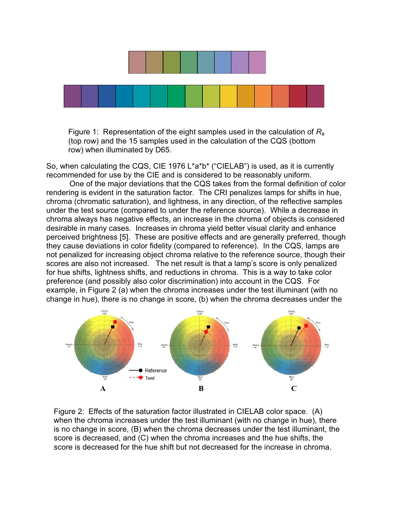

Figure 1: Representation of the eight samples used in the calculation of *R*<sup>a</sup> (top row) and the 15 samples used in the calculation of the CQS (bottom row) when illuminated by D65.

So, when calculating the CQS, CIE 1976 L\*a\*b\* ("CIELAB") is used, as it is currently recommended for use by the CIE and is considered to be reasonably uniform.

One of the major deviations that the CQS takes from the formal definition of color rendering is evident in the saturation factor. The CRI penalizes lamps for shifts in hue, chroma (chromatic saturation), and lightness, in any direction, of the reflective samples under the test source (compared to under the reference source). While a decrease in chroma always has negative effects, an increase in the chroma of objects is considered desirable in many cases. Increases in chroma yield better visual clarity and enhance perceived brightness [5]. These are positive effects and are generally preferred, though they cause deviations in color fidelity (compared to reference). In the CQS, lamps are not penalized for increasing object chroma relative to the reference source, though their scores are also not increased. The net result is that a lamp's score is only penalized for hue shifts, lightness shifts, and reductions in chroma. This is a way to take color preference (and possibly also color discrimination) into account in the CQS. For example, in Figure 2 (a) when the chroma increases under the test illuminant (with no change in hue), there is no change in score, (b) when the chroma decreases under the



Figure 2: Effects of the saturation factor illustrated in CIELAB color space. (A) when the chroma increases under the test illuminant (with no change in hue), there is no change in score, (B) when the chroma decreases under the test illuminant, the score is decreased, and (C) when the chroma increases and the hue shifts, the score is decreased for the hue shift but not decreased for the increase in chroma.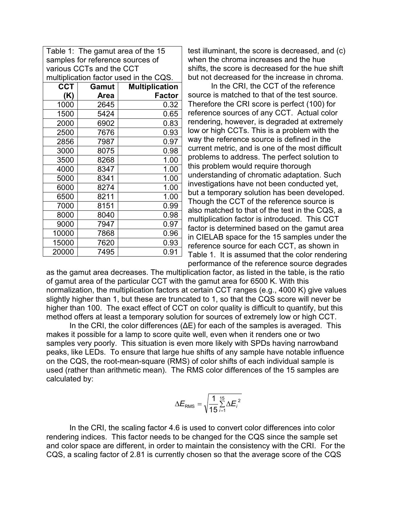| Table 1: The gamut area of the 15      |             |                       |
|----------------------------------------|-------------|-----------------------|
| samples for reference sources of       |             |                       |
| various CCTs and the CCT               |             |                       |
| multiplication factor used in the CQS. |             |                       |
| <b>CCT</b>                             | Gamut       | <b>Multiplication</b> |
| (K)                                    | <b>Area</b> | <b>Factor</b>         |
| 1000                                   | 2645        | 0.32                  |
| 1500                                   | 5424        | 0.65                  |
| 2000                                   | 6902        | 0.83                  |
| 2500                                   | 7676        | 0.93                  |
| 2856                                   | 7987        | 0.97                  |
| 3000                                   | 8075        | 0.98                  |
| 3500                                   | 8268        | 1.00                  |
| 4000                                   | 8347        | 1.00                  |
| 5000                                   | 8341        | 1.00                  |
| 6000                                   | 8274        | 1.00                  |
| 6500                                   | 8211        | 1.00                  |
| 7000                                   | 8151        | 0.99                  |
| 8000                                   | 8040        | 0.98                  |
| 9000                                   | 7947        | 0.97                  |
| 10000                                  | 7868        | 0.96                  |
| 15000                                  | 7620        | 0.93                  |
| 20000                                  | 7495        | 0.91                  |

test illuminant, the score is decreased, and (c) when the chroma increases and the hue shifts, the score is decreased for the hue shift but not decreased for the increase in chroma.

In the CRI, the CCT of the reference source is matched to that of the test source. Therefore the CRI score is perfect (100) for reference sources of any CCT. Actual color rendering, however, is degraded at extremely low or high CCTs. This is a problem with the way the reference source is defined in the current metric, and is one of the most difficult problems to address. The perfect solution to this problem would require thorough understanding of chromatic adaptation. Such investigations have not been conducted yet, but a temporary solution has been developed. Though the CCT of the reference source is also matched to that of the test in the CQS, a multiplication factor is introduced. This CCT factor is determined based on the gamut area in CIELAB space for the 15 samples under the reference source for each CCT, as shown in Table 1. It is assumed that the color rendering performance of the reference source degrades

as the gamut area decreases. The multiplication factor, as listed in the table, is the ratio of gamut area of the particular CCT with the gamut area for 6500 K. With this normalization, the multiplication factors at certain CCT ranges (e.g., 4000 K) give values slightly higher than 1, but these are truncated to 1, so that the CQS score will never be higher than 100. The exact effect of CCT on color quality is difficult to quantify, but this method offers at least a temporary solution for sources of extremely low or high CCT.

In the CRI, the color differences ( $\Delta E$ ) for each of the samples is averaged. This makes it possible for a lamp to score quite well, even when it renders one or two samples very poorly. This situation is even more likely with SPDs having narrowband peaks, like LEDs. To ensure that large hue shifts of any sample have notable influence on the CQS, the root-mean-square (RMS) of color shifts of each individual sample is used (rather than arithmetic mean). The RMS color differences of the 15 samples are calculated by:

$$
\Delta E_{\rm RMS} = \sqrt{\frac{1}{15} \sum_{i=1}^{15} \Delta E_i^2}
$$

In the CRI, the scaling factor 4.6 is used to convert color differences into color rendering indices. This factor needs to be changed for the CQS since the sample set and color space are different, in order to maintain the consistency with the CRI. For the CQS, a scaling factor of 2.81 is currently chosen so that the average score of the CQS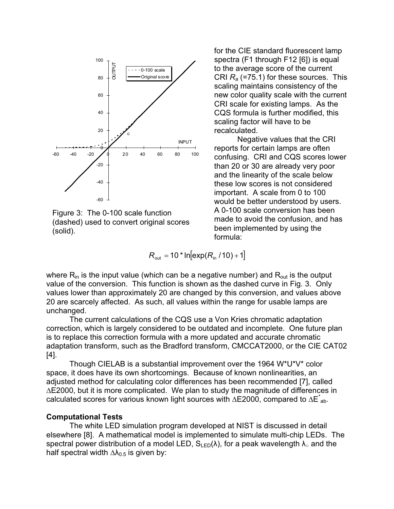

Figure 3: The 0-100 scale function (dashed) used to convert original scores (solid).

for the CIE standard fluorescent lamp spectra (F1 through F12 [6]) is equal to the average score of the current CRI *Ra* (=75.1) for these sources. This scaling maintains consistency of the new color quality scale with the current CRI scale for existing lamps. As the CQS formula is further modified, this scaling factor will have to be recalculated.

Negative values that the CRI reports for certain lamps are often confusing. CRI and CQS scores lower than 20 or 30 are already very poor and the linearity of the scale below these low scores is not considered important. A scale from 0 to 100 would be better understood by users. A 0-100 scale conversion has been made to avoid the confusion, and has been implemented by using the formula:

$$
R_{\text{out}} = 10 \cdot \ln[\exp(R_{\text{in}}/10) + 1]
$$

where  $R_{in}$  is the input value (which can be a negative number) and  $R_{out}$  is the output value of the conversion. This function is shown as the dashed curve in Fig. 3. Only values lower than approximately 20 are changed by this conversion, and values above 20 are scarcely affected. As such, all values within the range for usable lamps are unchanged.

The current calculations of the CQS use a Von Kries chromatic adaptation correction, which is largely considered to be outdated and incomplete. One future plan is to replace this correction formula with a more updated and accurate chromatic adaptation transform, such as the Bradford transform, CMCCAT2000, or the CIE CAT02 [4].

Though CIELAB is a substantial improvement over the 1964 W\*U\*V\* color space, it does have its own shortcomings. Because of known nonlinearities, an adjusted method for calculating color differences has been recommended [7], called  $\Delta$ E2000, but it is more complicated. We plan to study the magnitude of differences in calculated scores for various known light sources with ∆E2000, compared to ∆E $_{\rm~ab.}^{\rm *}$ 

## **Computational Tests**

The white LED simulation program developed at NIST is discussed in detail elsewhere [8]. A mathematical model is implemented to simulate multi-chip LEDs. The spectral power distribution of a model LED,  $S_{\mathsf{LED}}(\lambda)$ , for a peak wavelength  $\lambda_\circ$  and the half spectral width  $\Delta\lambda_{0.5}$  is given by: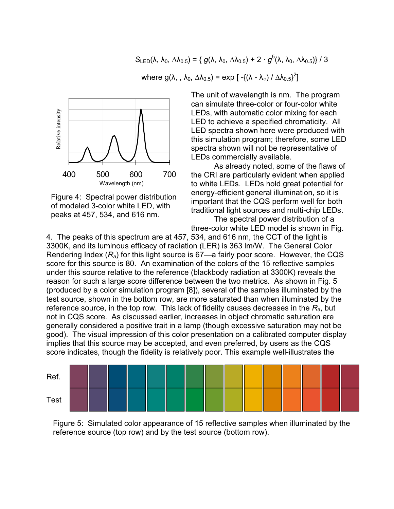$S_{LED}(\lambda, \lambda_0, \Delta\lambda_{0.5}) = \{ g(\lambda, \lambda_0, \Delta\lambda_{0.5}) + 2 \cdot g^5(\lambda, \lambda_0, \Delta\lambda_{0.5}) \}$  / 3

where g( $\lambda$ , ,  $\lambda_0$ ,  $\Delta \lambda_{0.5}$ ) = exp [ -{( $\lambda$  -  $\lambda_{\circ}$ ) /  $\Delta \lambda_{0.5}$ }<sup>2</sup>]



Figure 4: Spectral power distribution of modeled 3-color white LED, with peaks at 457, 534, and 616 nm.

The unit of wavelength is nm. The program can simulate three-color or four-color white LEDs, with automatic color mixing for each LED to achieve a specified chromaticity. All LED spectra shown here were produced with this simulation program; therefore, some LED spectra shown will not be representative of LEDs commercially available.

As already noted, some of the flaws of the CRI are particularly evident when applied to white LEDs. LEDs hold great potential for energy-efficient general illumination, so it is important that the CQS perform well for both traditional light sources and multi-chip LEDs.

The spectral power distribution of a three-color white LED model is shown in Fig.

4. The peaks of this spectrum are at 457, 534, and 616 nm, the CCT of the light is 3300K, and its luminous efficacy of radiation (LER) is 363 lm/W. The General Color Rendering Index  $(R_a)$  for this light source is  $67$ —a fairly poor score. However, the CQS score for this source is 80. An examination of the colors of the 15 reflective samples under this source relative to the reference (blackbody radiation at 3300K) reveals the reason for such a large score difference between the two metrics. As shown in Fig. 5 (produced by a color simulation program [8]), several of the samples illuminated by the test source, shown in the bottom row, are more saturated than when illuminated by the reference source, in the top row. This lack of fidelity causes decreases in the *R*a, but not in CQS score. As discussed earlier, increases in object chromatic saturation are generally considered a positive trait in a lamp (though excessive saturation may not be good). The visual impression of this color presentation on a calibrated computer display implies that this source may be accepted, and even preferred, by users as the CQS score indicates, though the fidelity is relatively poor. This example well-illustrates the



Figure 5: Simulated color appearance of 15 reflective samples when illuminated by the reference source (top row) and by the test source (bottom row).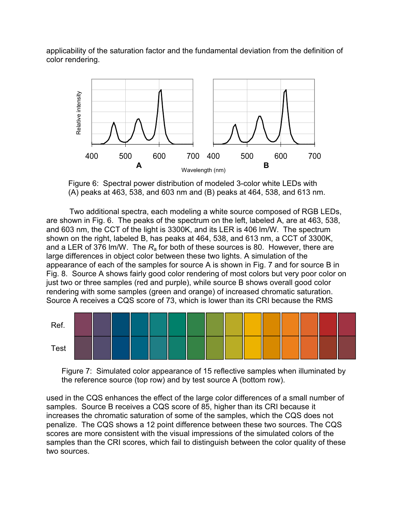applicability of the saturation factor and the fundamental deviation from the definition of color rendering.



Figure 6: Spectral power distribution of modeled 3-color white LEDs with

Two additional spectra, each modeling a white source composed of RGB LEDs, are shown in Fig. 6. The peaks of the spectrum on the left, labeled A, are at 463, 538, and 603 nm, the CCT of the light is 3300K, and its LER is 406 lm/W. The spectrum shown on the right, labeled B, has peaks at 464, 538, and 613 nm, a CCT of 3300K, and a LER of 376 lm/W. The R<sub>a</sub> for both of these sources is 80. However, there are large differences in object color between these two lights. A simulation of the appearance of each of the samples for source A is shown in Fig. 7 and for source B in Fig. 8. Source A shows fairly good color rendering of most colors but very poor color on just two or three samples (red and purple), while source B shows overall good color rendering with some samples (green and orange) of increased chromatic saturation. Source A receives a CQS score of 73, which is lower than its CRI because the RMS



Figure 7: Simulated color appearance of 15 reflective samples when illuminated by the reference source (top row) and by test source A (bottom row).

used in the CQS enhances the effect of the large color differences of a small number of samples. Source B receives a CQS score of 85, higher than its CRI because it increases the chromatic saturation of some of the samples, which the CQS does not penalize. The CQS shows a 12 point difference between these two sources. The CQS scores are more consistent with the visual impressions of the simulated colors of the samples than the CRI scores, which fail to distinguish between the color quality of these two sources.